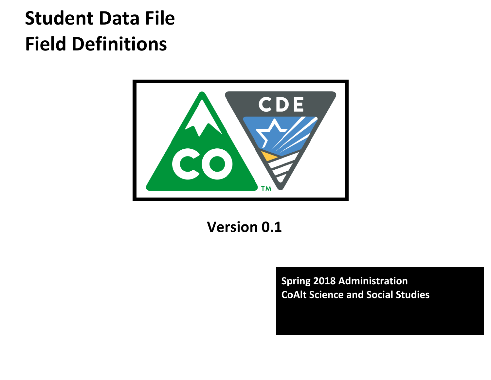# **Student Data File Field Definitions**



**Version 0.1**

**Spring 2018 Administration CoAlt Science and Social Studies**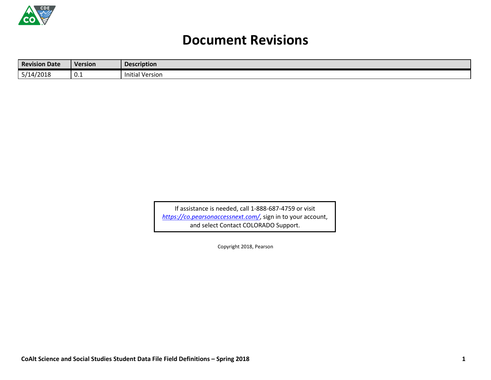

## **Document Revisions**

| <b>Revision Date</b> | Version | <b>Description</b>     |
|----------------------|---------|------------------------|
| 5/14/2018            | ∪.⊥     | <b>Initial Version</b> |

If assistance is needed, call 1-888-687-4759 or visit *<https://co.pearsonaccessnext.com/>*, sign in to your account, and select Contact COLORADO Support.

Copyright 2018, Pearson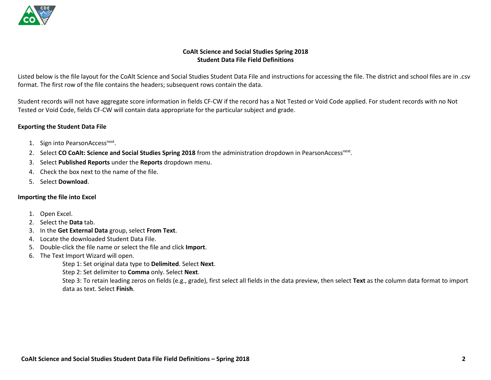

#### **CoAlt Science and Social Studies Spring 2018 Student Data File Field Definitions**

Listed below is the file layout for the CoAlt Science and Social Studies Student Data File and instructions for accessing the file. The district and school files are in .csv format. The first row of the file contains the headers; subsequent rows contain the data.

Student records will not have aggregate score information in fields CF-CW if the record has a Not Tested or Void Code applied. For student records with no Not Tested or Void Code, fields CF-CW will contain data appropriate for the particular subject and grade.

#### **Exporting the Student Data File**

- 1. Sign into PearsonAccess<sup>next</sup>.
- 2. Select CO CoAlt: Science and Social Studies Spring 2018 from the administration dropdown in PearsonAccess<sup>next</sup>.
- 3. Select **Published Reports** under the **Reports** dropdown menu.
- 4. Check the box next to the name of the file.
- 5. Select **Download**.

#### **Importing the file into Excel**

- 1. Open Excel.
- 2. Select the **Data** tab.
- 3. In the **Get External Data** group, select **From Text**.
- 4. Locate the downloaded Student Data File.
- 5. Double-click the file name or select the file and click **Import**.
- 6. The Text Import Wizard will open.

Step 1: Set original data type to **Delimited**. Select **Next**.

Step 2: Set delimiter to **Comma** only. Select **Next**.

Step 3: To retain leading zeros on fields (e.g., grade), first select all fields in the data preview, then select **Text** as the column data format to import data as text. Select **Finish**.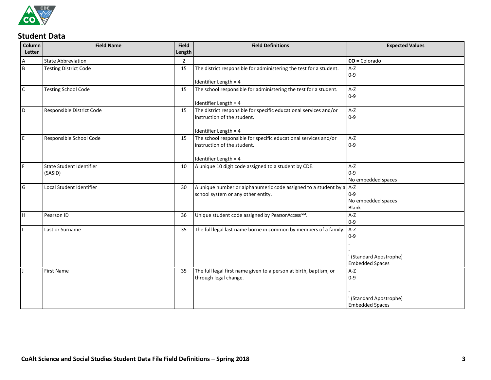

### **Student Data**

| Column       | <b>Field Name</b>            | Field  | <b>Field Definitions</b>                                              | <b>Expected Values</b> |
|--------------|------------------------------|--------|-----------------------------------------------------------------------|------------------------|
| Letter       |                              | Length |                                                                       |                        |
| A            | <b>State Abbreviation</b>    | 2      |                                                                       | $CO = Colorado$        |
| l B          | <b>Testing District Code</b> | 15     | The district responsible for administering the test for a student.    | $A-Z$                  |
|              |                              |        |                                                                       | $0 - 9$                |
|              |                              |        | Identifier Length = 4                                                 |                        |
| $\mathsf{C}$ | <b>Testing School Code</b>   | 15     | The school responsible for administering the test for a student.      | $A-Z$                  |
|              |                              |        |                                                                       | $0 - 9$                |
|              |                              |        | Identifier Length = 4                                                 |                        |
| ١D           | Responsible District Code    | 15     | The district responsible for specific educational services and/or     | $A-Z$                  |
|              |                              |        | instruction of the student.                                           | $0 - 9$                |
|              |                              |        | Identifier Length = 4                                                 |                        |
| I٤           | Responsible School Code      | 15     | The school responsible for specific educational services and/or       | $A-Z$                  |
|              |                              |        | instruction of the student.                                           | $0 - 9$                |
|              |                              |        |                                                                       |                        |
|              |                              |        | Identifier Length = 4                                                 |                        |
| IF.          | State Student Identifier     | 10     | A unique 10 digit code assigned to a student by CDE.                  | $A-Z$                  |
|              | (SASID)                      |        |                                                                       | $0 - 9$                |
|              |                              |        |                                                                       | No embedded spaces     |
| l G          | Local Student Identifier     | 30     | A unique number or alphanumeric code assigned to a student by a $A-Z$ |                        |
|              |                              |        | school system or any other entity.                                    | $0 - 9$                |
|              |                              |        |                                                                       | No embedded spaces     |
|              |                              |        |                                                                       | <b>Blank</b>           |
| lн           | Pearson ID                   | 36     | Unique student code assigned by PearsonAccessnext.                    | $A-Z$<br>$0 - 9$       |
|              | Last or Surname              | 35     | The full legal last name borne in common by members of a family. A-Z  |                        |
|              |                              |        |                                                                       | $0 - 9$                |
|              |                              |        |                                                                       |                        |
|              |                              |        |                                                                       |                        |
|              |                              |        |                                                                       | (Standard Apostrophe)  |
|              |                              |        |                                                                       | <b>Embedded Spaces</b> |
|              | <b>First Name</b>            | 35     | The full legal first name given to a person at birth, baptism, or     | $A-Z$                  |
|              |                              |        | through legal change.                                                 | $0 - 9$                |
|              |                              |        |                                                                       |                        |
|              |                              |        |                                                                       |                        |
|              |                              |        |                                                                       | (Standard Apostrophe)  |
|              |                              |        |                                                                       | <b>Embedded Spaces</b> |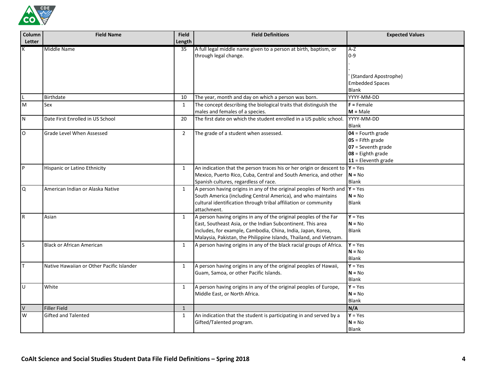

| Column<br>Letter | <b>Field Name</b>                         | <b>Field</b><br>Length | <b>Field Definitions</b>                                                                                                                                                                                                                                               | <b>Expected Values</b>                                                                                            |
|------------------|-------------------------------------------|------------------------|------------------------------------------------------------------------------------------------------------------------------------------------------------------------------------------------------------------------------------------------------------------------|-------------------------------------------------------------------------------------------------------------------|
|                  | Middle Name                               | 35                     | A full legal middle name given to a person at birth, baptism, or<br>through legal change.                                                                                                                                                                              | $A-Z$<br>$0 - 9$                                                                                                  |
|                  |                                           |                        |                                                                                                                                                                                                                                                                        | ' (Standard Apostrophe)<br><b>Embedded Spaces</b><br><b>Blank</b>                                                 |
|                  | Birthdate                                 | 10                     | The year, month and day on which a person was born.                                                                                                                                                                                                                    | YYYY-MM-DD                                                                                                        |
| M                | Sex                                       | $\mathbf{1}$           | The concept describing the biological traits that distinguish the<br>males and females of a species.                                                                                                                                                                   | $F =$ Female<br>$M = Male$                                                                                        |
| N                | Date First Enrolled in US School          | 20                     | The first date on which the student enrolled in a US public school.                                                                                                                                                                                                    | YYYY-MM-DD<br><b>Blank</b>                                                                                        |
| $\mathsf O$      | Grade Level When Assessed                 | $\overline{2}$         | The grade of a student when assessed.                                                                                                                                                                                                                                  | $04$ = Fourth grade<br>$05$ = Fifth grade<br>$07 =$ Seventh grade<br>$08 =$ Eighth grade<br>$11$ = Eleventh grade |
| <b>P</b>         | Hispanic or Latino Ethnicity              | 1                      | An indication that the person traces his or her origin or descent to $Y = Yes$<br>Mexico, Puerto Rico, Cuba, Central and South America, and other<br>Spanish cultures, regardless of race.                                                                             | $N = No$<br><b>Blank</b>                                                                                          |
| Q                | American Indian or Alaska Native          | 1                      | A person having origins in any of the original peoples of North and<br>South America (including Central America), and who maintains<br>cultural identification through tribal affiliation or community<br>attachment.                                                  | $Y = Yes$<br>$N = No$<br>Blank                                                                                    |
| R                | Asian                                     | 1                      | A person having origins in any of the original peoples of the Far<br>East, Southeast Asia, or the Indian Subcontinent. This area<br>includes, for example, Cambodia, China, India, Japan, Korea,<br>Malaysia, Pakistan, the Philippine Islands, Thailand, and Vietnam. | $Y = Yes$<br>$N = No$<br><b>Blank</b>                                                                             |
| <sub>S</sub>     | <b>Black or African American</b>          | 1                      | A person having origins in any of the black racial groups of Africa.                                                                                                                                                                                                   | $Y = Yes$<br>$N = No$<br><b>Blank</b>                                                                             |
| т                | Native Hawaiian or Other Pacific Islander | 1                      | A person having origins in any of the original peoples of Hawaii,<br>Guam, Samoa, or other Pacific Islands.                                                                                                                                                            | $Y = Yes$<br>$N = No$<br>Blank                                                                                    |
| U                | White                                     | 1                      | A person having origins in any of the original peoples of Europe,<br>Middle East, or North Africa.                                                                                                                                                                     | $Y = Yes$<br>$N = No$<br>Blank                                                                                    |
| $\vee$           | Filler Field                              | $\mathbf{1}$           |                                                                                                                                                                                                                                                                        | N/A                                                                                                               |
| W                | Gifted and Talented                       | 1                      | An indication that the student is participating in and served by a<br>Gifted/Talented program.                                                                                                                                                                         | $Y = Yes$<br>$N = No$<br><b>Blank</b>                                                                             |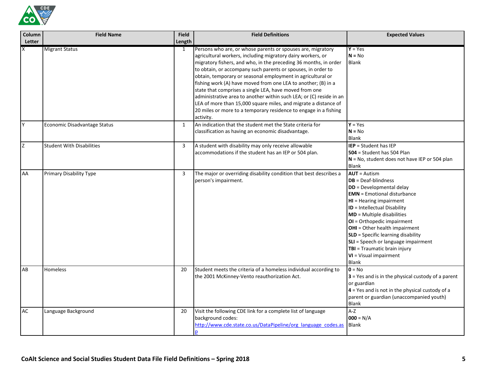

| Column<br>Letter        | <b>Field Name</b>                | <b>Field</b><br>Length | <b>Field Definitions</b>                                                                                                                                                                                                                                                                                                                                                                                                                                                                                                                                                                                                                                                            | <b>Expected Values</b>                                                                                                                                                                                                                                                                                                                                                                                                                        |
|-------------------------|----------------------------------|------------------------|-------------------------------------------------------------------------------------------------------------------------------------------------------------------------------------------------------------------------------------------------------------------------------------------------------------------------------------------------------------------------------------------------------------------------------------------------------------------------------------------------------------------------------------------------------------------------------------------------------------------------------------------------------------------------------------|-----------------------------------------------------------------------------------------------------------------------------------------------------------------------------------------------------------------------------------------------------------------------------------------------------------------------------------------------------------------------------------------------------------------------------------------------|
| $\overline{\mathsf{x}}$ | <b>Migrant Status</b>            | 1                      | Persons who are, or whose parents or spouses are, migratory<br>agricultural workers, including migratory dairy workers, or<br>migratory fishers, and who, in the preceding 36 months, in order<br>to obtain, or accompany such parents or spouses, in order to<br>obtain, temporary or seasonal employment in agricultural or<br>fishing work (A) have moved from one LEA to another; (B) in a<br>state that comprises a single LEA, have moved from one<br>administrative area to another within such LEA; or (C) reside in an<br>LEA of more than 15,000 square miles, and migrate a distance of<br>20 miles or more to a temporary residence to engage in a fishing<br>activity. | $Y = Yes$<br>$N = No$<br>Blank                                                                                                                                                                                                                                                                                                                                                                                                                |
| Y                       | Economic Disadvantage Status     | 1                      | An indication that the student met the State criteria for<br>classification as having an economic disadvantage.                                                                                                                                                                                                                                                                                                                                                                                                                                                                                                                                                                     | $Y = Yes$<br>$N = No$<br>Blank                                                                                                                                                                                                                                                                                                                                                                                                                |
| $\mathsf{Z}$            | <b>Student With Disabilities</b> | 3                      | A student with disability may only receive allowable<br>accommodations if the student has an IEP or 504 plan.                                                                                                                                                                                                                                                                                                                                                                                                                                                                                                                                                                       | $IEP = Student has IEP$<br>$504$ = Student has 504 Plan<br>$N = No$ , student does not have IEP or 504 plan<br><b>Blank</b>                                                                                                                                                                                                                                                                                                                   |
| AA                      | <b>Primary Disability Type</b>   | 3                      | The major or overriding disability condition that best describes a<br>person's impairment.                                                                                                                                                                                                                                                                                                                                                                                                                                                                                                                                                                                          | $AUT =$ Autism<br>$DB = Deaf-blindness$<br>DD = Developmental delay<br><b>EMN</b> = Emotional disturbance<br>HI = Hearing impairment<br>ID = Intellectual Disability<br><b>MD</b> = Multiple disabilities<br>OI = Orthopedic impairment<br><b>OHI</b> = Other health impairment<br><b>SLD</b> = Specific learning disability<br>SLI = Speech or language impairment<br>TBI = Traumatic brain injury<br>VI = Visual impairment<br><b>Blank</b> |
| AB                      | Homeless                         | 20                     | Student meets the criteria of a homeless individual according to<br>the 2001 McKinney-Vento reauthorization Act.                                                                                                                                                                                                                                                                                                                                                                                                                                                                                                                                                                    | $0 = No$<br>$3$ = Yes and is in the physical custody of a parent<br>or guardian<br>$4$ = Yes and is not in the physical custody of a<br>parent or guardian (unaccompanied youth)<br>Blank                                                                                                                                                                                                                                                     |
| AC                      | Language Background              | 20                     | Visit the following CDE link for a complete list of language<br>background codes:<br>http://www.cde.state.co.us/DataPipeline/org language codes.as                                                                                                                                                                                                                                                                                                                                                                                                                                                                                                                                  | $A-Z$<br>$000 = N/A$<br><b>Blank</b>                                                                                                                                                                                                                                                                                                                                                                                                          |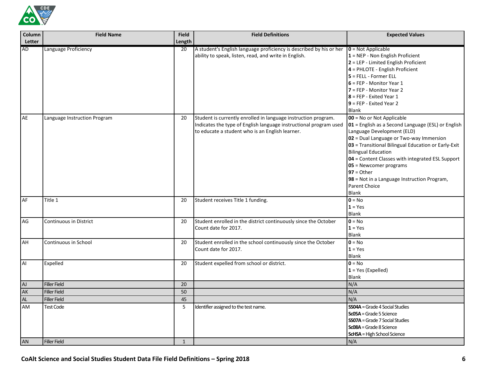

| Column<br>Letter | <b>Field Name</b>            | <b>Field</b><br>Length | <b>Field Definitions</b>                                                                                                                                                               | <b>Expected Values</b>                                                                                                                                                                                                                                                                                                                                                                                                      |
|------------------|------------------------------|------------------------|----------------------------------------------------------------------------------------------------------------------------------------------------------------------------------------|-----------------------------------------------------------------------------------------------------------------------------------------------------------------------------------------------------------------------------------------------------------------------------------------------------------------------------------------------------------------------------------------------------------------------------|
| <b>AD</b>        | Language Proficiency         | 20                     | A student's English language proficiency is described by his or her<br>ability to speak, listen, read, and write in English.                                                           | $0 = Not Applicable$<br>$1 =$ NEP - Non English Proficient<br>2 = LEP - Limited English Proficient<br>4 = PHLOTE - English Proficient<br>$5$ = FELL - Former ELL<br>$6$ = FEP - Monitor Year 1<br>7 = FEP - Monitor Year 2<br>$8$ = FEP - Exited Year 1<br>$9$ = FEP - Exited Year 2<br>Blank                                                                                                                               |
| AE               | Language Instruction Program | 20                     | Student is currently enrolled in language instruction program.<br>Indicates the type of English language instructional program used<br>to educate a student who is an English learner. | 00 = No or Not Applicable<br>01 = English as a Second Language (ESL) or English<br>Language Development (ELD)<br>02 = Dual Language or Two-way Immersion<br>03 = Transitional Bilingual Education or Early-Exit<br><b>Bilingual Education</b><br>04 = Content Classes with integrated ESL Support<br>05 = Newcomer programs<br>$97 =$ Other<br>98 = Not in a Language Instruction Program,<br>Parent Choice<br><b>Blank</b> |
| AF               | Title 1                      | 20                     | Student receives Title 1 funding.                                                                                                                                                      | $0 = No$<br>$1 = Yes$<br>Blank                                                                                                                                                                                                                                                                                                                                                                                              |
| AG               | Continuous in District       | 20                     | Student enrolled in the district continuously since the October<br>Count date for 2017.                                                                                                | $0 = No$<br>$1 = Yes$<br><b>Blank</b>                                                                                                                                                                                                                                                                                                                                                                                       |
| AH               | Continuous in School         | 20                     | Student enrolled in the school continuously since the October<br>Count date for 2017.                                                                                                  | $0 = No$<br>$1 = Yes$<br>Blank                                                                                                                                                                                                                                                                                                                                                                                              |
| AI               | Expelled                     | 20                     | Student expelled from school or district.                                                                                                                                              | $0 = No$<br>$1 = Yes (Expelled)$<br><b>Blank</b>                                                                                                                                                                                                                                                                                                                                                                            |
| ${\sf AJ}$       | <b>Filler Field</b>          | 20                     |                                                                                                                                                                                        | N/A                                                                                                                                                                                                                                                                                                                                                                                                                         |
| AK               | <b>Filler Field</b>          | 50                     |                                                                                                                                                                                        | N/A                                                                                                                                                                                                                                                                                                                                                                                                                         |
| AL               | <b>Filler Field</b>          | 45                     |                                                                                                                                                                                        | N/A                                                                                                                                                                                                                                                                                                                                                                                                                         |
| AM               | <b>Test Code</b>             | 5                      | Identifier assigned to the test name.                                                                                                                                                  | <b>SS04A</b> = Grade 4 Social Studies<br><b>Sc05A</b> = Grade 5 Science<br>$SSO7A = Grade 7 Social Studies$<br><b>Sc08A</b> = Grade 8 Science<br><b>ScHSA</b> = High School Science                                                                                                                                                                                                                                         |
| AN               | <b>Filler Field</b>          | $\mathbf{1}$           |                                                                                                                                                                                        | N/A                                                                                                                                                                                                                                                                                                                                                                                                                         |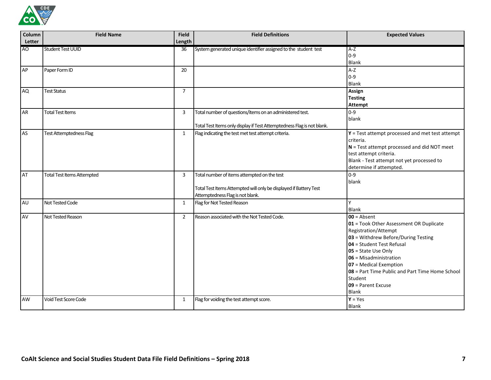

| Column         | <b>Field Name</b>                 | <b>Field</b>    | <b>Field Definitions</b>                                                                                                                             | <b>Expected Values</b>                                                                                                                                                                                                                                                                                                              |
|----------------|-----------------------------------|-----------------|------------------------------------------------------------------------------------------------------------------------------------------------------|-------------------------------------------------------------------------------------------------------------------------------------------------------------------------------------------------------------------------------------------------------------------------------------------------------------------------------------|
| Letter         |                                   | Length          |                                                                                                                                                      |                                                                                                                                                                                                                                                                                                                                     |
| A <sub>O</sub> | <b>Student Test UUID</b>          | $\overline{36}$ | System generated unique identifier assigned to the student test                                                                                      | $A-Z$<br>$0 - 9$<br><b>Blank</b>                                                                                                                                                                                                                                                                                                    |
| AP             | Paper Form ID                     | 20              |                                                                                                                                                      | $A-Z$<br>$0 - 9$<br><b>Blank</b>                                                                                                                                                                                                                                                                                                    |
| <b>AQ</b>      | <b>Test Status</b>                | $\overline{7}$  |                                                                                                                                                      | Assign<br><b>Testing</b><br><b>Attempt</b>                                                                                                                                                                                                                                                                                          |
| <b>AR</b>      | <b>Total Test Items</b>           | 3               | Total number of questions/items on an administered test.<br>Total Test Items only display if Test Attemptedness Flag is not blank.                   | $0 - 9$<br>blank                                                                                                                                                                                                                                                                                                                    |
| AS             | <b>Test Attemptedness Flag</b>    | $\mathbf{1}$    | Flag indicating the test met test attempt criteria.                                                                                                  | $Y$ = Test attempt processed and met test attempt<br>criteria.<br>$N = Test$ attempt processed and did NOT meet<br>test attempt criteria.<br>Blank - Test attempt not yet processed to<br>determine if attempted.                                                                                                                   |
| AT             | <b>Total Test Items Attempted</b> | 3               | Total number of items attempted on the test<br>Total Test Items Attempted will only be displayed if Battery Test<br>Attemptedness Flag is not blank. | $0 - 9$<br>blank                                                                                                                                                                                                                                                                                                                    |
| AU             | Not Tested Code                   | 1               | Flag for Not Tested Reason                                                                                                                           | Y<br><b>Blank</b>                                                                                                                                                                                                                                                                                                                   |
| AV             | Not Tested Reason                 | $\overline{2}$  | Reason associated with the Not Tested Code.                                                                                                          | $00 =$ Absent<br>01 = Took Other Assessment OR Duplicate<br>Registration/Attempt<br>03 = Withdrew Before/During Testing<br>04 = Student Test Refusal<br>05 = State Use Only<br>06 = Misadministration<br>07 = Medical Exemption<br>08 = Part Time Public and Part Time Home School<br>Student<br>09 = Parent Excuse<br><b>Blank</b> |
| AW             | Void Test Score Code              | 1               | Flag for voiding the test attempt score.                                                                                                             | $Y = Yes$<br><b>Blank</b>                                                                                                                                                                                                                                                                                                           |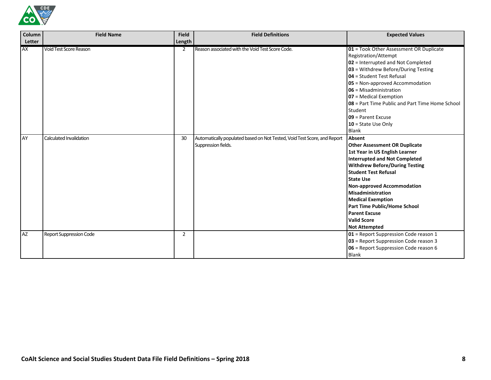

| Column    | <b>Field Name</b>              | <b>Field</b> | <b>Field Definitions</b>                                                                        | <b>Expected Values</b>                                                                                                                                                                                                                                                                                                                                                                                           |
|-----------|--------------------------------|--------------|-------------------------------------------------------------------------------------------------|------------------------------------------------------------------------------------------------------------------------------------------------------------------------------------------------------------------------------------------------------------------------------------------------------------------------------------------------------------------------------------------------------------------|
| Letter    |                                | Length       |                                                                                                 |                                                                                                                                                                                                                                                                                                                                                                                                                  |
| <b>AX</b> | <b>Void Test Score Reason</b>  | 2            | Reason associated with the Void Test Score Code.                                                | 01 = Took Other Assessment OR Duplicate<br>Registration/Attempt<br>02 = Interrupted and Not Completed<br>03 = Withdrew Before/During Testing<br>04 = Student Test Refusal<br>05 = Non-approved Accommodation<br>06 = Misadministration<br>07 = Medical Exemption<br>08 = Part Time Public and Part Time Home School<br>Student<br>$09$ = Parent Excuse<br>$10 =$ State Use Only<br><b>Blank</b>                  |
| AY        | Calculated Invalidation        | 30           | Automatically populated based on Not Tested, Void Test Score, and Report<br>Suppression fields. | Absent<br><b>Other Assessment OR Duplicate</b><br>1st Year in US English Learner<br><b>Interrupted and Not Completed</b><br><b>Withdrew Before/During Testing</b><br><b>Student Test Refusal</b><br><b>State Use</b><br><b>Non-approved Accommodation</b><br>Misadministration<br><b>Medical Exemption</b><br>Part Time Public/Home School<br><b>Parent Excuse</b><br><b>Valid Score</b><br><b>Not Attempted</b> |
| <b>AZ</b> | <b>Report Suppression Code</b> | 2            |                                                                                                 | 01 = Report Suppression Code reason 1<br>03 = Report Suppression Code reason 3<br>06 = Report Suppression Code reason 6<br><b>Blank</b>                                                                                                                                                                                                                                                                          |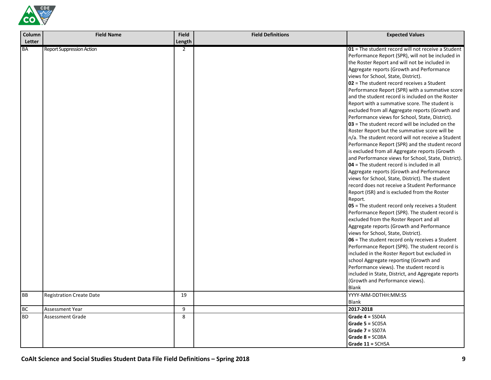

| Column    | <b>Field Name</b>               | <b>Field</b>   | <b>Field Definitions</b> | <b>Expected Values</b>                                                                                                                                                                                                                                                                                                                                                                                                                                                                                                                                                                                                                                                                                                                                                                                                                                                                                                                                                                                                                                                                                                                                                                                                                                                                                                                                                                                                                                                                                                                                                                                                                                                                                                     |
|-----------|---------------------------------|----------------|--------------------------|----------------------------------------------------------------------------------------------------------------------------------------------------------------------------------------------------------------------------------------------------------------------------------------------------------------------------------------------------------------------------------------------------------------------------------------------------------------------------------------------------------------------------------------------------------------------------------------------------------------------------------------------------------------------------------------------------------------------------------------------------------------------------------------------------------------------------------------------------------------------------------------------------------------------------------------------------------------------------------------------------------------------------------------------------------------------------------------------------------------------------------------------------------------------------------------------------------------------------------------------------------------------------------------------------------------------------------------------------------------------------------------------------------------------------------------------------------------------------------------------------------------------------------------------------------------------------------------------------------------------------------------------------------------------------------------------------------------------------|
| Letter    |                                 | Length         |                          |                                                                                                                                                                                                                                                                                                                                                                                                                                                                                                                                                                                                                                                                                                                                                                                                                                                                                                                                                                                                                                                                                                                                                                                                                                                                                                                                                                                                                                                                                                                                                                                                                                                                                                                            |
| <b>BA</b> | Report Suppression Action       | $\overline{2}$ |                          | 01 = The student record will not receive a Student<br>Performance Report (SPR), will not be included in<br>the Roster Report and will not be included in<br>Aggregate reports (Growth and Performance<br>views for School, State, District).<br>$02$ = The student record receives a Student<br>Performance Report (SPR) with a summative score<br>and the student record is included on the Roster<br>Report with a summative score. The student is<br>excluded from all Aggregate reports (Growth and<br>Performance views for School, State, District).<br>$03$ = The student record will be included on the<br>Roster Report but the summative score will be<br>n/a. The student record will not receive a Student<br>Performance Report (SPR) and the student record<br>is excluded from all Aggregate reports (Growth<br>and Performance views for School, State, District).<br>$04$ = The student record is included in all<br>Aggregate reports (Growth and Performance<br>views for School, State, District). The student<br>record does not receive a Student Performance<br>Report (ISR) and is excluded from the Roster<br>Report.<br>05 = The student record only receives a Student<br>Performance Report (SPR). The student record is<br>excluded from the Roster Report and all<br>Aggregate reports (Growth and Performance<br>views for School, State, District).<br>06 = The student record only receives a Student<br>Performance Report (SPR). The student record is<br>included in the Roster Report but excluded in<br>school Aggregate reporting (Growth and<br>Performance views). The student record is<br>included in State, District, and Aggregate reports<br>(Growth and Performance views). |
| <b>BB</b> | <b>Registration Create Date</b> | 19             |                          | Blank<br>YYYY-MM-DDTHH:MM:SS<br><b>Blank</b>                                                                                                                                                                                                                                                                                                                                                                                                                                                                                                                                                                                                                                                                                                                                                                                                                                                                                                                                                                                                                                                                                                                                                                                                                                                                                                                                                                                                                                                                                                                                                                                                                                                                               |
| BC        | Assessment Year                 | 9              |                          | 2017-2018                                                                                                                                                                                                                                                                                                                                                                                                                                                                                                                                                                                                                                                                                                                                                                                                                                                                                                                                                                                                                                                                                                                                                                                                                                                                                                                                                                                                                                                                                                                                                                                                                                                                                                                  |
| <b>BD</b> | <b>Assessment Grade</b>         | 8              |                          | Grade $4 =$ SS04A                                                                                                                                                                                                                                                                                                                                                                                                                                                                                                                                                                                                                                                                                                                                                                                                                                                                                                                                                                                                                                                                                                                                                                                                                                                                                                                                                                                                                                                                                                                                                                                                                                                                                                          |
|           |                                 |                |                          | Grade $5 = SC05A$                                                                                                                                                                                                                                                                                                                                                                                                                                                                                                                                                                                                                                                                                                                                                                                                                                                                                                                                                                                                                                                                                                                                                                                                                                                                                                                                                                                                                                                                                                                                                                                                                                                                                                          |
|           |                                 |                |                          | Grade $7 =$ SS07A                                                                                                                                                                                                                                                                                                                                                                                                                                                                                                                                                                                                                                                                                                                                                                                                                                                                                                                                                                                                                                                                                                                                                                                                                                                                                                                                                                                                                                                                                                                                                                                                                                                                                                          |
|           |                                 |                |                          | Grade $8 = SCO8A$                                                                                                                                                                                                                                                                                                                                                                                                                                                                                                                                                                                                                                                                                                                                                                                                                                                                                                                                                                                                                                                                                                                                                                                                                                                                                                                                                                                                                                                                                                                                                                                                                                                                                                          |
|           |                                 |                |                          | Grade 11 = SCHSA                                                                                                                                                                                                                                                                                                                                                                                                                                                                                                                                                                                                                                                                                                                                                                                                                                                                                                                                                                                                                                                                                                                                                                                                                                                                                                                                                                                                                                                                                                                                                                                                                                                                                                           |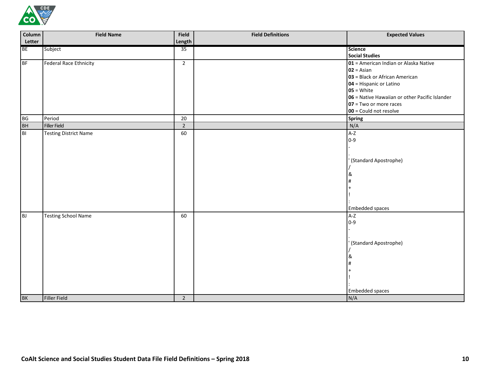

| Column         | <b>Field Name</b>             | Field          | <b>Field Definitions</b> | <b>Expected Values</b>                         |
|----------------|-------------------------------|----------------|--------------------------|------------------------------------------------|
| Letter         |                               | Length         |                          |                                                |
| <b>BE</b>      | Subject                       | 35             |                          | <b>Science</b>                                 |
|                |                               |                |                          | <b>Social Studies</b>                          |
| <b>BF</b>      | <b>Federal Race Ethnicity</b> | $2^{\circ}$    |                          | 01 = American Indian or Alaska Native          |
|                |                               |                |                          | $02 = Asian$                                   |
|                |                               |                |                          | 03 = Black or African American                 |
|                |                               |                |                          | 04 = Hispanic or Latino                        |
|                |                               |                |                          | $05 = White$                                   |
|                |                               |                |                          | 06 = Native Hawaiian or other Pacific Islander |
|                |                               |                |                          | 07 = Two or more races                         |
|                |                               |                |                          | 00 = Could not resolve                         |
| <b>BG</b>      | Period                        | 20             |                          | <b>Spring</b>                                  |
| <b>BH</b>      | <b>Filler Field</b>           | $\overline{2}$ |                          | N/A                                            |
| B <sub>1</sub> | <b>Testing District Name</b>  | 60             |                          | $A-Z$                                          |
|                |                               |                |                          | $0 - 9$                                        |
|                |                               |                |                          |                                                |
|                |                               |                |                          | ' (Standard Apostrophe)                        |
|                |                               |                |                          |                                                |
|                |                               |                |                          | &                                              |
|                |                               |                |                          |                                                |
|                |                               |                |                          |                                                |
|                |                               |                |                          |                                                |
|                |                               |                |                          |                                                |
|                |                               |                |                          | <b>Embedded spaces</b>                         |
| BJ             | <b>Testing School Name</b>    | 60             |                          | $A-Z$                                          |
|                |                               |                |                          | $0 - 9$                                        |
|                |                               |                |                          |                                                |
|                |                               |                |                          |                                                |
|                |                               |                |                          | ' (Standard Apostrophe)                        |
|                |                               |                |                          |                                                |
|                |                               |                |                          | &                                              |
|                |                               |                |                          | #                                              |
|                |                               |                |                          |                                                |
|                |                               |                |                          |                                                |
|                |                               |                |                          |                                                |
|                |                               |                |                          | <b>Embedded spaces</b>                         |
| BK             | <b>Filler Field</b>           | $\overline{2}$ |                          | N/A                                            |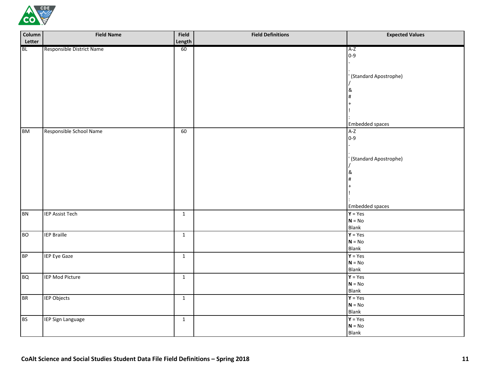

| Column    | <b>Field Name</b>         | Field        | <b>Field Definitions</b> | <b>Expected Values</b>  |
|-----------|---------------------------|--------------|--------------------------|-------------------------|
| Letter    |                           | Length       |                          |                         |
| <b>BL</b> | Responsible District Name | 60           |                          | $A-Z$                   |
|           |                           |              |                          | $0 - 9$                 |
|           |                           |              |                          |                         |
|           |                           |              |                          |                         |
|           |                           |              |                          | ' (Standard Apostrophe) |
|           |                           |              |                          |                         |
|           |                           |              |                          | &                       |
|           |                           |              |                          | #                       |
|           |                           |              |                          |                         |
|           |                           |              |                          |                         |
|           |                           |              |                          | Embedded spaces         |
| <b>BM</b> | Responsible School Name   | 60           |                          | $A-Z$                   |
|           |                           |              |                          | $0 - 9$                 |
|           |                           |              |                          |                         |
|           |                           |              |                          |                         |
|           |                           |              |                          | ' (Standard Apostrophe) |
|           |                           |              |                          |                         |
|           |                           |              |                          | &                       |
|           |                           |              |                          | #                       |
|           |                           |              |                          |                         |
|           |                           |              |                          |                         |
|           |                           |              |                          |                         |
|           |                           |              |                          | <b>Embedded spaces</b>  |
| <b>BN</b> | <b>IEP Assist Tech</b>    | $\mathbf{1}$ |                          | $Y = Yes$               |
|           |                           |              |                          | $N = No$                |
|           |                           |              |                          | Blank                   |
| <b>BO</b> | <b>IEP Braille</b>        | $\mathbf{1}$ |                          | $Y = Yes$               |
|           |                           |              |                          | $N = No$                |
|           |                           |              |                          | Blank                   |
| <b>BP</b> | <b>IEP Eye Gaze</b>       | $\mathbf{1}$ |                          | $Y = Yes$               |
|           |                           |              |                          | $N = No$<br>Blank       |
|           |                           |              |                          |                         |
| <b>BQ</b> | IEP Mod Picture           | $\mathbf{1}$ |                          | $Y = Yes$<br>$N = No$   |
|           |                           |              |                          | Blank                   |
| <b>BR</b> | <b>IEP Objects</b>        | $\mathbf{1}$ |                          | $Y = Yes$               |
|           |                           |              |                          | $N = No$                |
|           |                           |              |                          | Blank                   |
| <b>BS</b> | IEP Sign Language         | $\mathbf{1}$ |                          | $Y = Yes$               |
|           |                           |              |                          | $N = No$                |
|           |                           |              |                          | Blank                   |
|           |                           |              |                          |                         |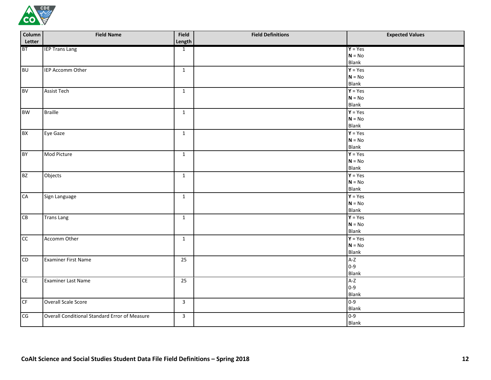

| Column          | <b>Field Name</b>                             | Field           | <b>Field Definitions</b> | <b>Expected Values</b>   |
|-----------------|-----------------------------------------------|-----------------|--------------------------|--------------------------|
| Letter          |                                               | Length          |                          |                          |
| <b>BT</b>       | <b>IEP Trans Lang</b>                         | $\mathbf{1}$    |                          | $Y = Yes$                |
|                 |                                               |                 |                          | $N = No$                 |
|                 |                                               |                 |                          | Blank                    |
| <b>BU</b>       | IEP Accomm Other                              | $\mathbf{1}$    |                          | $Y = Yes$                |
|                 |                                               |                 |                          | $N = No$                 |
|                 |                                               |                 |                          | Blank                    |
| <b>BV</b>       | <b>Assist Tech</b>                            | $\mathbf{1}$    |                          | $\overline{Y}$ = Yes     |
|                 |                                               |                 |                          | $N = No$<br><b>Blank</b> |
|                 |                                               |                 |                          | $Y = Yes$                |
| <b>BW</b>       | <b>Braille</b>                                | $\mathbf{1}$    |                          | $N = No$                 |
|                 |                                               |                 |                          | <b>Blank</b>             |
|                 |                                               |                 |                          | $\overline{Y}$ = Yes     |
| <b>BX</b>       | Eye Gaze                                      | $\mathbf{1}$    |                          | $N = No$                 |
|                 |                                               |                 |                          | Blank                    |
| <b>BY</b>       | Mod Picture                                   | $\mathbf{1}$    |                          | $Y = Yes$                |
|                 |                                               |                 |                          | $N = No$                 |
|                 |                                               |                 |                          | <b>Blank</b>             |
| <b>BZ</b>       | Objects                                       | $\mathbf{1}$    |                          | $\overline{Y}$ = Yes     |
|                 |                                               |                 |                          | $N = No$                 |
|                 |                                               |                 |                          | <b>Blank</b>             |
| CA              | Sign Language                                 | $\mathbf{1}$    |                          | $Y = Yes$                |
|                 |                                               |                 |                          | $N = No$                 |
|                 |                                               |                 |                          | <b>Blank</b>             |
| CB              | <b>Trans Lang</b>                             | $\mathbf{1}$    |                          | $\overline{Y}$ = Yes     |
|                 |                                               |                 |                          | $N = No$                 |
|                 |                                               |                 |                          | Blank                    |
| cc              | Accomm Other                                  | $\mathbf{1}$    |                          | $Y = Yes$                |
|                 |                                               |                 |                          | $N = No$                 |
|                 |                                               |                 |                          | Blank                    |
| $\overline{CD}$ | <b>Examiner First Name</b>                    | $\overline{25}$ |                          | $A-Z$                    |
|                 |                                               |                 |                          | $0 - 9$                  |
|                 |                                               |                 |                          | Blank                    |
| CE              | Examiner Last Name                            | 25              |                          | $A-Z$                    |
|                 |                                               |                 |                          | $0 - 9$                  |
|                 |                                               |                 |                          | <b>Blank</b>             |
| CF              | Overall Scale Score                           | $\mathbf{3}$    |                          | $0 - 9$                  |
|                 |                                               |                 |                          | Blank                    |
| CG              | Overall Conditional Standard Error of Measure | $\mathbf{3}$    |                          | $0 - 9$                  |
|                 |                                               |                 |                          | <b>Blank</b>             |
|                 |                                               |                 |                          |                          |